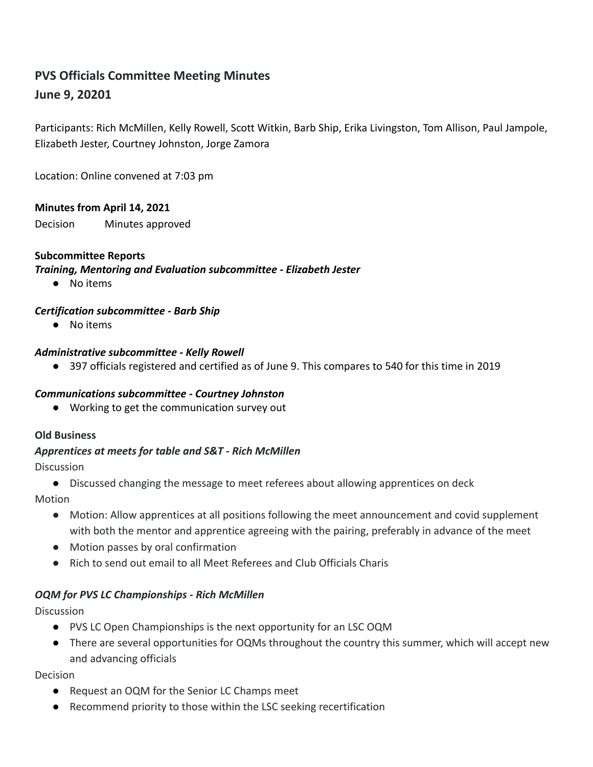# **PVS Officials Committee Meeting Minutes June 9, 20201**

Participants: Rich McMillen, Kelly Rowell, Scott Witkin, Barb Ship, Erika Livingston, Tom Allison, Paul Jampole, Elizabeth Jester, Courtney Johnston, Jorge Zamora

Location: Online convened at 7:03 pm

## **Minutes from April 14, 2021**

Decision Minutes approved

## **Subcommittee Reports**

*Training, Mentoring and Evaluation subcommittee - Elizabeth Jester*

● No items

## *Certification subcommittee - Barb Ship*

● No items

#### *Administrative subcommittee - Kelly Rowell*

● 397 officials registered and certified as of June 9. This compares to 540 for this time in 2019

# *Communications subcommittee - Courtney Johnston*

● Working to get the communication survey out

#### **Old Business**

# *Apprentices at meets for table and S&T - Rich McMillen*

**Discussion** 

● Discussed changing the message to meet referees about allowing apprentices on deck

Motion

- Motion: Allow apprentices at all positions following the meet announcement and covid supplement with both the mentor and apprentice agreeing with the pairing, preferably in advance of the meet
- Motion passes by oral confirmation
- Rich to send out email to all Meet Referees and Club Officials Charis

# *OQM for PVS LC Championships - Rich McMillen*

**Discussion** 

- PVS LC Open Championships is the next opportunity for an LSC OQM
- There are several opportunities for OQMs throughout the country this summer, which will accept new and advancing officials

#### Decision

- Request an OQM for the Senior LC Champs meet
- Recommend priority to those within the LSC seeking recertification